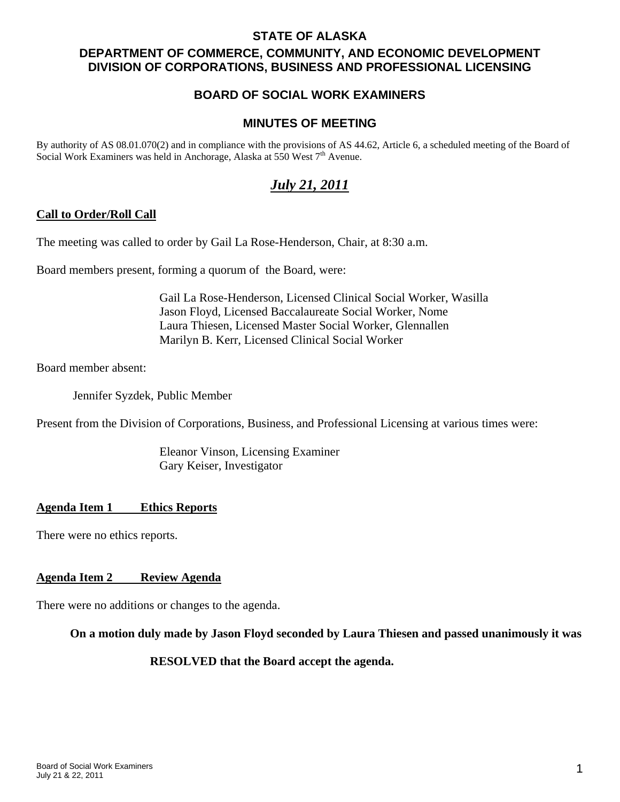# **STATE OF ALASKA DEPARTMENT OF COMMERCE, COMMUNITY, AND ECONOMIC DEVELOPMENT DIVISION OF CORPORATIONS, BUSINESS AND PROFESSIONAL LICENSING**

# **BOARD OF SOCIAL WORK EXAMINERS**

## **MINUTES OF MEETING**

By authority of AS 08.01.070(2) and in compliance with the provisions of AS 44.62, Article 6, a scheduled meeting of the Board of Social Work Examiners was held in Anchorage, Alaska at 550 West 7<sup>th</sup> Avenue.

# *July 21, 2011*

## **Call to Order/Roll Call**

The meeting was called to order by Gail La Rose-Henderson, Chair, at 8:30 a.m.

Board members present, forming a quorum of the Board, were:

 Gail La Rose-Henderson, Licensed Clinical Social Worker, Wasilla Jason Floyd, Licensed Baccalaureate Social Worker, Nome Laura Thiesen, Licensed Master Social Worker, Glennallen Marilyn B. Kerr, Licensed Clinical Social Worker

Board member absent:

Jennifer Syzdek, Public Member

Present from the Division of Corporations, Business, and Professional Licensing at various times were:

 Eleanor Vinson, Licensing Examiner Gary Keiser, Investigator

## **Agenda Item 1 Ethics Reports**

There were no ethics reports.

### **Agenda Item 2 Review Agenda**

There were no additions or changes to the agenda.

### **On a motion duly made by Jason Floyd seconded by Laura Thiesen and passed unanimously it was**

### **RESOLVED that the Board accept the agenda.**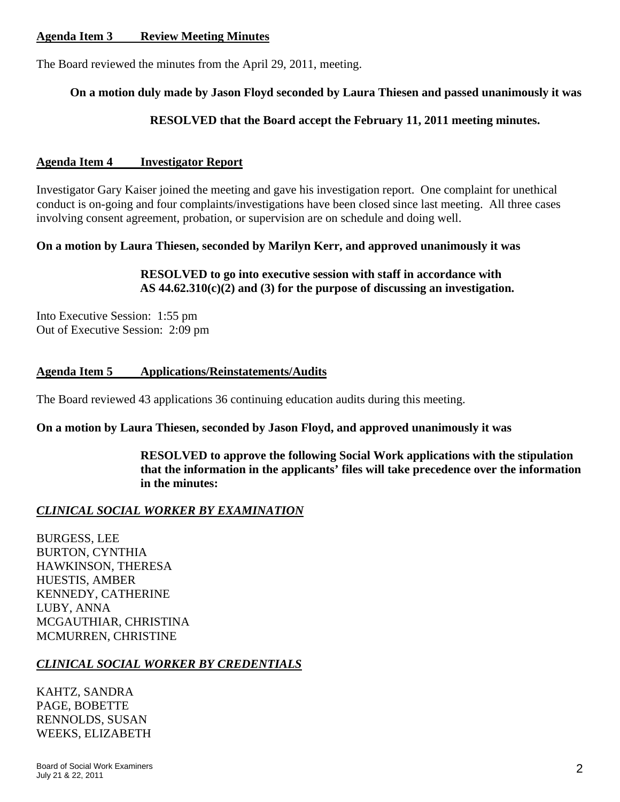## **Agenda Item 3 Review Meeting Minutes**

The Board reviewed the minutes from the April 29, 2011, meeting.

## **On a motion duly made by Jason Floyd seconded by Laura Thiesen and passed unanimously it was**

## **RESOLVED that the Board accept the February 11, 2011 meeting minutes.**

### **Agenda Item 4 Investigator Report**

Investigator Gary Kaiser joined the meeting and gave his investigation report. One complaint for unethical conduct is on-going and four complaints/investigations have been closed since last meeting. All three cases involving consent agreement, probation, or supervision are on schedule and doing well.

## **On a motion by Laura Thiesen, seconded by Marilyn Kerr, and approved unanimously it was**

## **RESOLVED to go into executive session with staff in accordance with AS 44.62.310(c)(2) and (3) for the purpose of discussing an investigation.**

Into Executive Session: 1:55 pm Out of Executive Session: 2:09 pm

## **Agenda Item 5 Applications/Reinstatements/Audits**

The Board reviewed 43 applications 36 continuing education audits during this meeting.

### **On a motion by Laura Thiesen, seconded by Jason Floyd, and approved unanimously it was**

 **RESOLVED to approve the following Social Work applications with the stipulation that the information in the applicants' files will take precedence over the information in the minutes:** 

## *CLINICAL SOCIAL WORKER BY EXAMINATION*

BURGESS, LEE BURTON, CYNTHIA HAWKINSON, THERESA HUESTIS, AMBER KENNEDY, CATHERINE LUBY, ANNA MCGAUTHIAR, CHRISTINA MCMURREN, CHRISTINE

## *CLINICAL SOCIAL WORKER BY CREDENTIALS*

KAHTZ, SANDRA PAGE, BOBETTE RENNOLDS, SUSAN WEEKS, ELIZABETH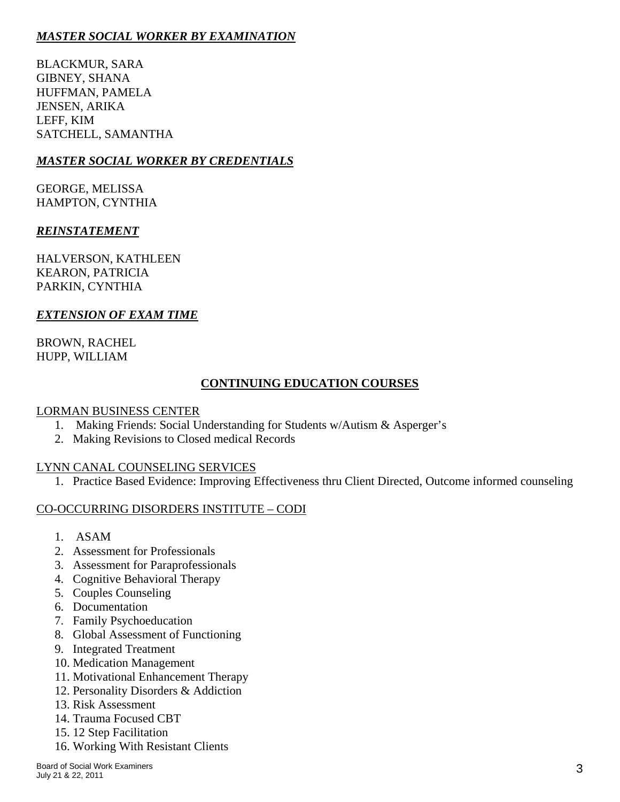# *MASTER SOCIAL WORKER BY EXAMINATION*

BLACKMUR, SARA GIBNEY, SHANA HUFFMAN, PAMELA JENSEN, ARIKA LEFF, KIM SATCHELL, SAMANTHA

# *MASTER SOCIAL WORKER BY CREDENTIALS*

GEORGE, MELISSA HAMPTON, CYNTHIA

## *REINSTATEMENT*

HALVERSON, KATHLEEN KEARON, PATRICIA PARKIN, CYNTHIA

## *EXTENSION OF EXAM TIME*

BROWN, RACHEL HUPP, WILLIAM

# **CONTINUING EDUCATION COURSES**

## LORMAN BUSINESS CENTER

- 1. Making Friends: Social Understanding for Students w/Autism & Asperger's
- 2. Making Revisions to Closed medical Records

# LYNN CANAL COUNSELING SERVICES

1. Practice Based Evidence: Improving Effectiveness thru Client Directed, Outcome informed counseling

# CO-OCCURRING DISORDERS INSTITUTE – CODI

- 1. ASAM
- 2. Assessment for Professionals
- 3. Assessment for Paraprofessionals
- 4. Cognitive Behavioral Therapy
- 5. Couples Counseling
- 6. Documentation
- 7. Family Psychoeducation
- 8. Global Assessment of Functioning
- 9. Integrated Treatment
- 10. Medication Management
- 11. Motivational Enhancement Therapy
- 12. Personality Disorders & Addiction
- 13. Risk Assessment
- 14. Trauma Focused CBT
- 15. 12 Step Facilitation
- 16. Working With Resistant Clients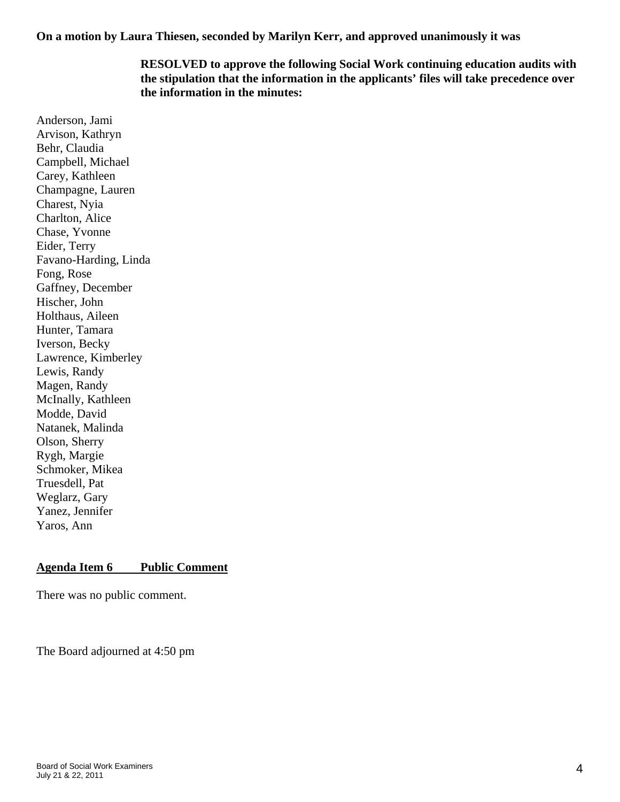**On a motion by Laura Thiesen, seconded by Marilyn Kerr, and approved unanimously it was** 

# **RESOLVED to approve the following Social Work continuing education audits with the stipulation that the information in the applicants' files will take precedence over the information in the minutes:**

Anderson, Jami Arvison, Kathryn Behr, Claudia Campbell, Michael Carey, Kathleen Champagne, Lauren Charest, Nyia Charlton, Alice Chase, Yvonne Eider, Terry Favano-Harding, Linda Fong, Rose Gaffney, December Hischer, John Holthaus, Aileen Hunter, Tamara Iverson, Becky Lawrence, Kimberley Lewis, Randy Magen, Randy McInally, Kathleen Modde, David Natanek, Malinda Olson, Sherry Rygh, Margie Schmoker, Mikea Truesdell, Pat Weglarz, Gary Yanez, Jennifer Yaros, Ann

# **Agenda Item 6 Public Comment**

There was no public comment.

The Board adjourned at 4:50 pm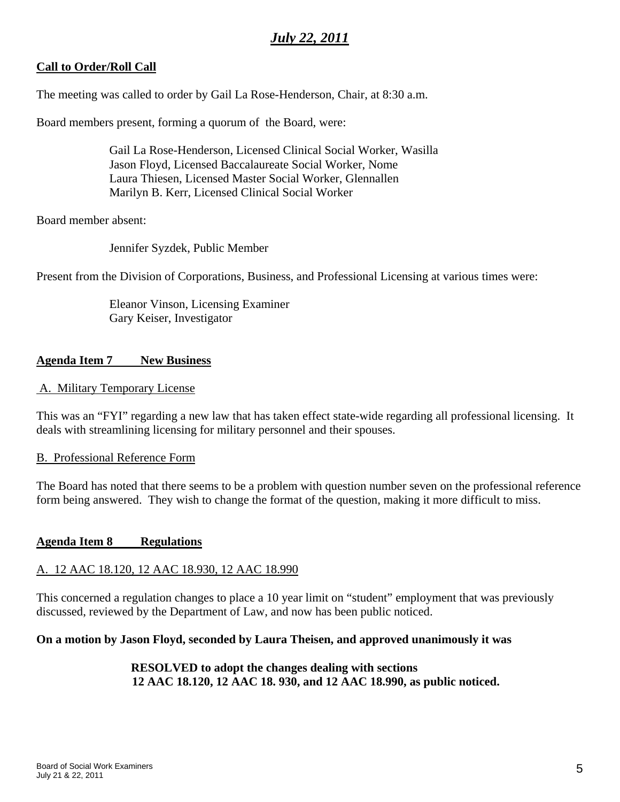# *July 22, 2011*

# **Call to Order/Roll Call**

The meeting was called to order by Gail La Rose-Henderson, Chair, at 8:30 a.m.

Board members present, forming a quorum of the Board, were:

 Gail La Rose-Henderson, Licensed Clinical Social Worker, Wasilla Jason Floyd, Licensed Baccalaureate Social Worker, Nome Laura Thiesen, Licensed Master Social Worker, Glennallen Marilyn B. Kerr, Licensed Clinical Social Worker

Board member absent:

Jennifer Syzdek, Public Member

Present from the Division of Corporations, Business, and Professional Licensing at various times were:

 Eleanor Vinson, Licensing Examiner Gary Keiser, Investigator

## **Agenda Item 7 New Business**

### A. Military Temporary License

This was an "FYI" regarding a new law that has taken effect state-wide regarding all professional licensing. It deals with streamlining licensing for military personnel and their spouses.

### B. Professional Reference Form

The Board has noted that there seems to be a problem with question number seven on the professional reference form being answered. They wish to change the format of the question, making it more difficult to miss.

## **Agenda Item 8 Regulations**

## A. 12 AAC 18.120, 12 AAC 18.930, 12 AAC 18.990

This concerned a regulation changes to place a 10 year limit on "student" employment that was previously discussed, reviewed by the Department of Law, and now has been public noticed.

## **On a motion by Jason Floyd, seconded by Laura Theisen, and approved unanimously it was**

## **RESOLVED to adopt the changes dealing with sections 12 AAC 18.120, 12 AAC 18. 930, and 12 AAC 18.990, as public noticed.**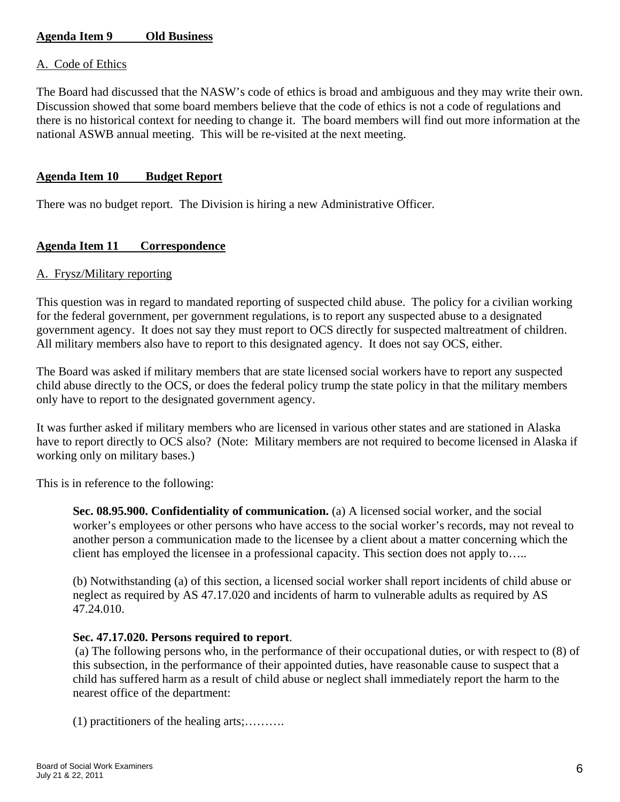# **Agenda Item 9 Old Business**

### A. Code of Ethics

The Board had discussed that the NASW's code of ethics is broad and ambiguous and they may write their own. Discussion showed that some board members believe that the code of ethics is not a code of regulations and there is no historical context for needing to change it. The board members will find out more information at the national ASWB annual meeting. This will be re-visited at the next meeting.

### **Agenda Item 10 Budget Report**

There was no budget report. The Division is hiring a new Administrative Officer.

## **Agenda Item 11 Correspondence**

### A. Frysz/Military reporting

This question was in regard to mandated reporting of suspected child abuse. The policy for a civilian working for the federal government, per government regulations, is to report any suspected abuse to a designated government agency. It does not say they must report to OCS directly for suspected maltreatment of children. All military members also have to report to this designated agency. It does not say OCS, either.

The Board was asked if military members that are state licensed social workers have to report any suspected child abuse directly to the OCS, or does the federal policy trump the state policy in that the military members only have to report to the designated government agency.

It was further asked if military members who are licensed in various other states and are stationed in Alaska have to report directly to OCS also? (Note: Military members are not required to become licensed in Alaska if working only on military bases.)

This is in reference to the following:

**Sec. 08.95.900. Confidentiality of communication.** (a) A licensed social worker, and the social worker's employees or other persons who have access to the social worker's records, may not reveal to another person a communication made to the licensee by a client about a matter concerning which the client has employed the licensee in a professional capacity. This section does not apply to…..

(b) Notwithstanding (a) of this section, a licensed social worker shall report incidents of child abuse or neglect as required by AS 47.17.020 and incidents of harm to vulnerable adults as required by AS 47.24.010.

### **Sec. 47.17.020. Persons required to report**.

(a) The following persons who, in the performance of their occupational duties, or with respect to (8) of this subsection, in the performance of their appointed duties, have reasonable cause to suspect that a child has suffered harm as a result of child abuse or neglect shall immediately report the harm to the nearest office of the department:

(1) practitioners of the healing arts;……….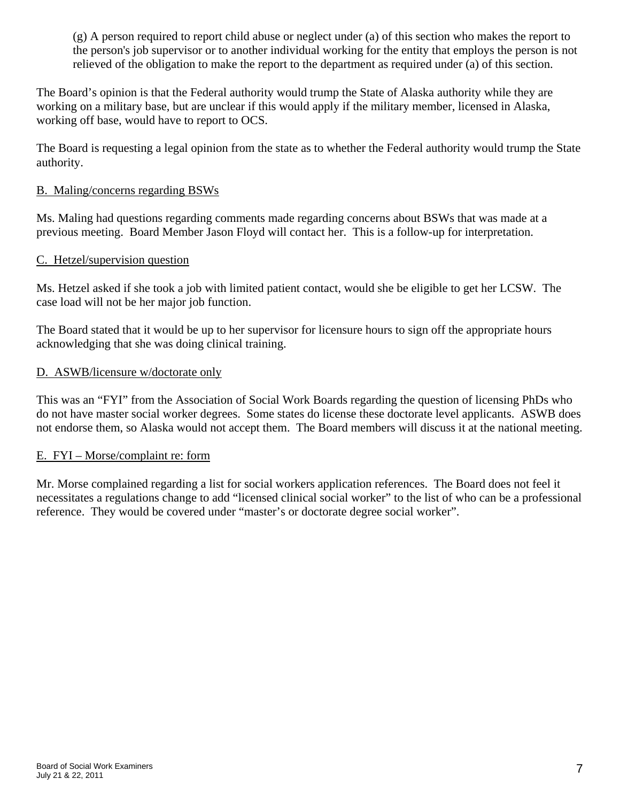(g) A person required to report child abuse or neglect under (a) of this section who makes the report to the person's job supervisor or to another individual working for the entity that employs the person is not relieved of the obligation to make the report to the department as required under (a) of this section.

The Board's opinion is that the Federal authority would trump the State of Alaska authority while they are working on a military base, but are unclear if this would apply if the military member, licensed in Alaska, working off base, would have to report to OCS.

The Board is requesting a legal opinion from the state as to whether the Federal authority would trump the State authority.

## B. Maling/concerns regarding BSWs

Ms. Maling had questions regarding comments made regarding concerns about BSWs that was made at a previous meeting. Board Member Jason Floyd will contact her. This is a follow-up for interpretation.

## C. Hetzel/supervision question

Ms. Hetzel asked if she took a job with limited patient contact, would she be eligible to get her LCSW. The case load will not be her major job function.

The Board stated that it would be up to her supervisor for licensure hours to sign off the appropriate hours acknowledging that she was doing clinical training.

### D. ASWB/licensure w/doctorate only

This was an "FYI" from the Association of Social Work Boards regarding the question of licensing PhDs who do not have master social worker degrees. Some states do license these doctorate level applicants. ASWB does not endorse them, so Alaska would not accept them. The Board members will discuss it at the national meeting.

## E. FYI – Morse/complaint re: form

Mr. Morse complained regarding a list for social workers application references. The Board does not feel it necessitates a regulations change to add "licensed clinical social worker" to the list of who can be a professional reference. They would be covered under "master's or doctorate degree social worker".